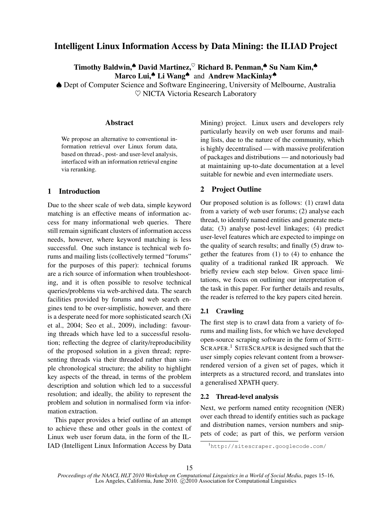# Intelligent Linux Information Access by Data Mining: the ILIAD Project

Timothy Baldwin,<sup>▲</sup> David Martinez, Richard B. Penman,<sup>▲</sup> Su Nam Kim,◆ Marco Lui,<sup>▲</sup> Li Wang<sup>▲</sup> and Andrew MacKinlay<sup>▲</sup>

♠ Dept of Computer Science and Software Engineering, University of Melbourne, Australia  $\heartsuit$  NICTA Victoria Research Laboratory

## Abstract

We propose an alternative to conventional information retrieval over Linux forum data, based on thread-, post- and user-level analysis, interfaced with an information retrieval engine via reranking.

## 1 Introduction

Due to the sheer scale of web data, simple keyword matching is an effective means of information access for many informational web queries. There still remain significant clusters of information access needs, however, where keyword matching is less successful. One such instance is technical web forums and mailing lists (collectively termed "forums" for the purposes of this paper): technical forums are a rich source of information when troubleshooting, and it is often possible to resolve technical queries/problems via web-archived data. The search facilities provided by forums and web search engines tend to be over-simplistic, however, and there is a desperate need for more sophisticated search (Xi et al., 2004; Seo et al., 2009), including: favouring threads which have led to a successful resolution; reflecting the degree of clarity/reproducibility of the proposed solution in a given thread; representing threads via their threaded rather than simple chronological structure; the ability to highlight key aspects of the thread, in terms of the problem description and solution which led to a successful resolution; and ideally, the ability to represent the problem and solution in normalised form via information extraction.

This paper provides a brief outline of an attempt to achieve these and other goals in the context of Linux web user forum data, in the form of the IL-IAD (Intelligent Linux Information Access by Data Mining) project. Linux users and developers rely particularly heavily on web user forums and mailing lists, due to the nature of the community, which is highly decentralised — with massive proliferation of packages and distributions — and notoriously bad at maintaining up-to-date documentation at a level suitable for newbie and even intermediate users.

## 2 Project Outline

Our proposed solution is as follows: (1) crawl data from a variety of web user forums; (2) analyse each thread, to identify named entities and generate metadata; (3) analyse post-level linkages; (4) predict user-level features which are expected to impinge on the quality of search results; and finally (5) draw together the features from (1) to (4) to enhance the quality of a traditional ranked IR approach. We briefly review each step below. Given space limitations, we focus on outlining our interpretation of the task in this paper. For further details and results, the reader is referred to the key papers cited herein.

## 2.1 Crawling

The first step is to crawl data from a variety of forums and mailing lists, for which we have developed open-source scraping software in the form of SITE-SCRAPER.<sup>1</sup> SITESCRAPER is designed such that the user simply copies relevant content from a browserrendered version of a given set of pages, which it interprets as a structured record, and translates into a generalised XPATH query.

## 2.2 Thread-level analysis

Next, we perform named entity recognition (NER) over each thread to identify entities such as package and distribution names, version numbers and snippets of code; as part of this, we perform version

<sup>1</sup>http://sitescraper.googlecode.com/